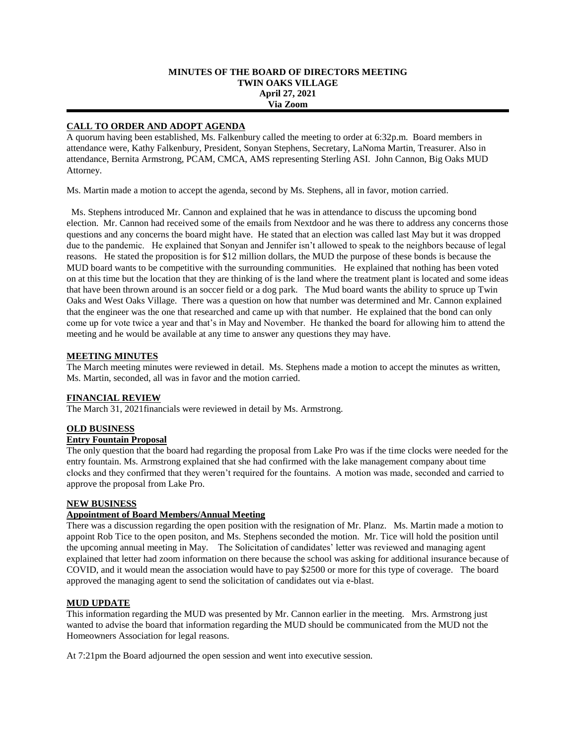### **MINUTES OF THE BOARD OF DIRECTORS MEETING TWIN OAKS VILLAGE April 27, 2021 Via Zoom**

## **CALL TO ORDER AND ADOPT AGENDA**

A quorum having been established, Ms. Falkenbury called the meeting to order at 6:32p.m. Board members in attendance were, Kathy Falkenbury, President, Sonyan Stephens, Secretary, LaNoma Martin, Treasurer. Also in attendance, Bernita Armstrong, PCAM, CMCA, AMS representing Sterling ASI. John Cannon, Big Oaks MUD Attorney.

Ms. Martin made a motion to accept the agenda, second by Ms. Stephens, all in favor, motion carried.

 Ms. Stephens introduced Mr. Cannon and explained that he was in attendance to discuss the upcoming bond election. Mr. Cannon had received some of the emails from Nextdoor and he was there to address any concerns those questions and any concerns the board might have. He stated that an election was called last May but it was dropped due to the pandemic. He explained that Sonyan and Jennifer isn't allowed to speak to the neighbors because of legal reasons. He stated the proposition is for \$12 million dollars, the MUD the purpose of these bonds is because the MUD board wants to be competitive with the surrounding communities. He explained that nothing has been voted on at this time but the location that they are thinking of is the land where the treatment plant is located and some ideas that have been thrown around is an soccer field or a dog park. The Mud board wants the ability to spruce up Twin Oaks and West Oaks Village. There was a question on how that number was determined and Mr. Cannon explained that the engineer was the one that researched and came up with that number. He explained that the bond can only come up for vote twice a year and that's in May and November. He thanked the board for allowing him to attend the meeting and he would be available at any time to answer any questions they may have.

### **MEETING MINUTES**

The March meeting minutes were reviewed in detail. Ms. Stephens made a motion to accept the minutes as written, Ms. Martin, seconded, all was in favor and the motion carried.

# **FINANCIAL REVIEW**

The March 31, 2021financials were reviewed in detail by Ms. Armstrong.

### **OLD BUSINESS**

# **Entry Fountain Proposal**

The only question that the board had regarding the proposal from Lake Pro was if the time clocks were needed for the entry fountain. Ms. Armstrong explained that she had confirmed with the lake management company about time clocks and they confirmed that they weren't required for the fountains. A motion was made, seconded and carried to approve the proposal from Lake Pro.

### **NEW BUSINESS**

### **Appointment of Board Members/Annual Meeting**

There was a discussion regarding the open position with the resignation of Mr. Planz. Ms. Martin made a motion to appoint Rob Tice to the open positon, and Ms. Stephens seconded the motion. Mr. Tice will hold the position until the upcoming annual meeting in May. The Solicitation of candidates' letter was reviewed and managing agent explained that letter had zoom information on there because the school was asking for additional insurance because of COVID, and it would mean the association would have to pay \$2500 or more for this type of coverage. The board approved the managing agent to send the solicitation of candidates out via e-blast.

### **MUD UPDATE**

This information regarding the MUD was presented by Mr. Cannon earlier in the meeting. Mrs. Armstrong just wanted to advise the board that information regarding the MUD should be communicated from the MUD not the Homeowners Association for legal reasons.

At 7:21pm the Board adjourned the open session and went into executive session.